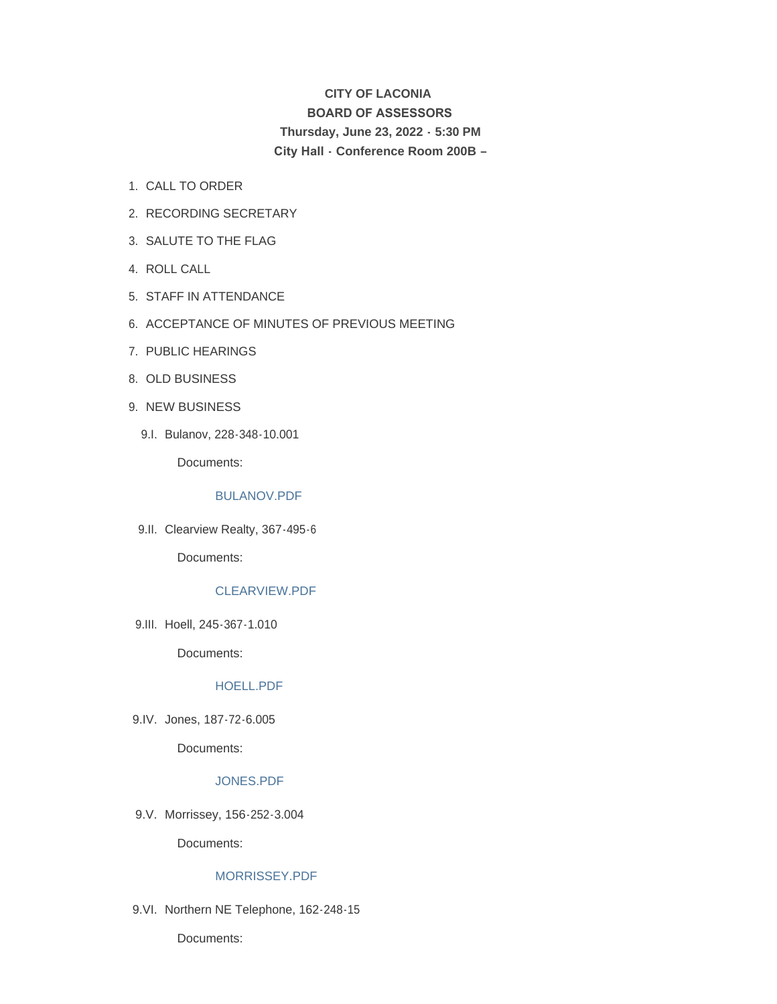# **CITY OF LACONIA BOARD OF ASSESSORS Thursday, June 23, 2022 - 5:30 PM City Hall - Conference Room 200B –**

- 1. CALL TO ORDER
- 2. RECORDING SECRETARY
- 3. SALUTE TO THE FLAG
- 4. ROLL CALL
- STAFF IN ATTENDANCE 5.
- 6. ACCEPTANCE OF MINUTES OF PREVIOUS MEETING
- 7. PUBLIC HEARINGS
- 8. OLD BUSINESS
- 9. NEW BUSINESS
	- Bulanov, 228-348-10.001 9.I.

Documents:

## [BULANOV.PDF](https://www.laconianh.gov/AgendaCenter/ViewFile/Item/21148?fileID=43697)

9.II. Clearview Realty, 367-495-6

Documents:

## [CLEARVIEW.PDF](https://www.laconianh.gov/AgendaCenter/ViewFile/Item/21236?fileID=43704)

9.III. Hoell, 245-367-1.010

Documents:

## [HOELL.PDF](https://www.laconianh.gov/AgendaCenter/ViewFile/Item/21149?fileID=43695)

9.IV. Jones, 187-72-6.005

Documents:

## [JONES.PDF](https://www.laconianh.gov/AgendaCenter/ViewFile/Item/21144?fileID=43693)

9.V. Morrissey, 156-252-3.004

Documents:

## [MORRISSEY.PDF](https://www.laconianh.gov/AgendaCenter/ViewFile/Item/21133?fileID=43665)

9.VI. Northern NE Telephone, 162-248-15

Documents: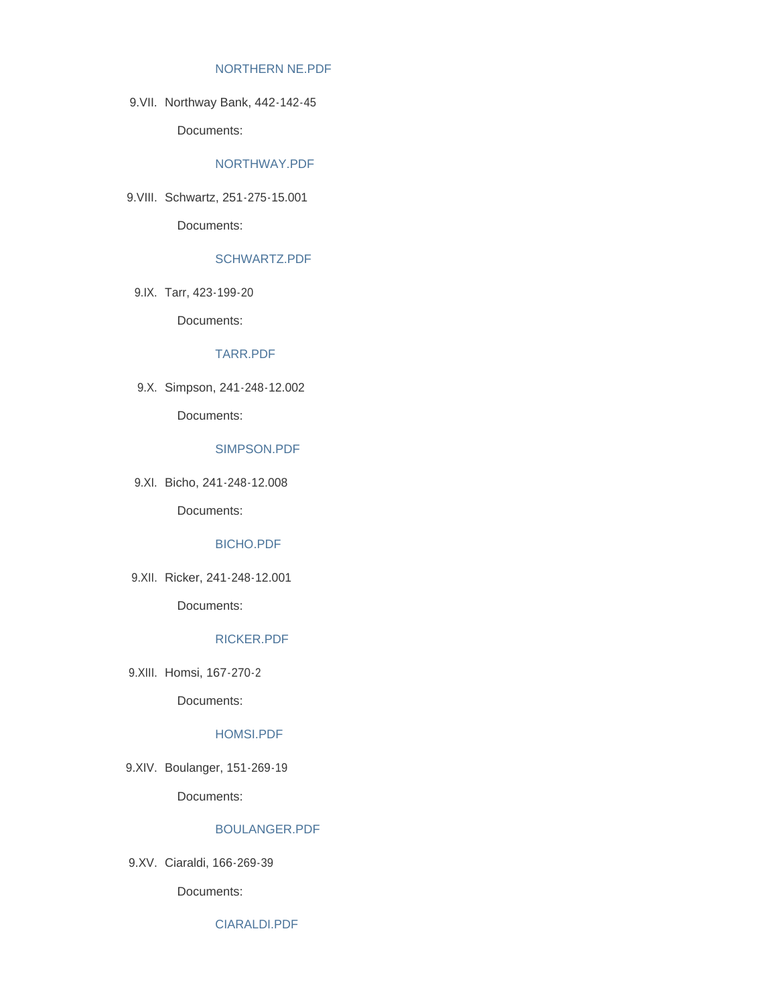#### [NORTHERN NE.PDF](https://www.laconianh.gov/AgendaCenter/ViewFile/Item/21235?fileID=43703)

9. VII. Northway Bank, 442-142-45

Documents:

## [NORTHWAY.PDF](https://www.laconianh.gov/AgendaCenter/ViewFile/Item/21143?fileID=43694)

9. VIII. Schwartz, 251 - 275 - 15.001

Documents:

## [SCHWARTZ.PDF](https://www.laconianh.gov/AgendaCenter/ViewFile/Item/21153?fileID=43696)

9.IX. Tarr, 423-199-20

Documents:

#### [TARR.PDF](https://www.laconianh.gov/AgendaCenter/ViewFile/Item/21141?fileID=43698)

9.X. Simpson, 241-248-12.002

Documents:

## [SIMPSON.PDF](https://www.laconianh.gov/AgendaCenter/ViewFile/Item/21247?fileID=43739)

Bicho, 241-248-12.008 9.XI.

Documents:

## [BICHO.PDF](https://www.laconianh.gov/AgendaCenter/ViewFile/Item/21147?fileID=43692)

Ricker, 241-248-12.001 9.XII.

Documents:

## [RICKER.PDF](https://www.laconianh.gov/AgendaCenter/ViewFile/Item/21150?fileID=43691)

9.XIII. Homsi, 167-270-2

Documents:

### [HOMSI.PDF](https://www.laconianh.gov/AgendaCenter/ViewFile/Item/21128?fileID=43660)

9.XIV. Boulanger, 151-269-19

Documents:

## [BOULANGER.PDF](https://www.laconianh.gov/AgendaCenter/ViewFile/Item/21125?fileID=43657)

Ciaraldi, 166-269-39 9.XV.

Documents:

[CIARALDI.PDF](https://www.laconianh.gov/AgendaCenter/ViewFile/Item/21127?fileID=43659)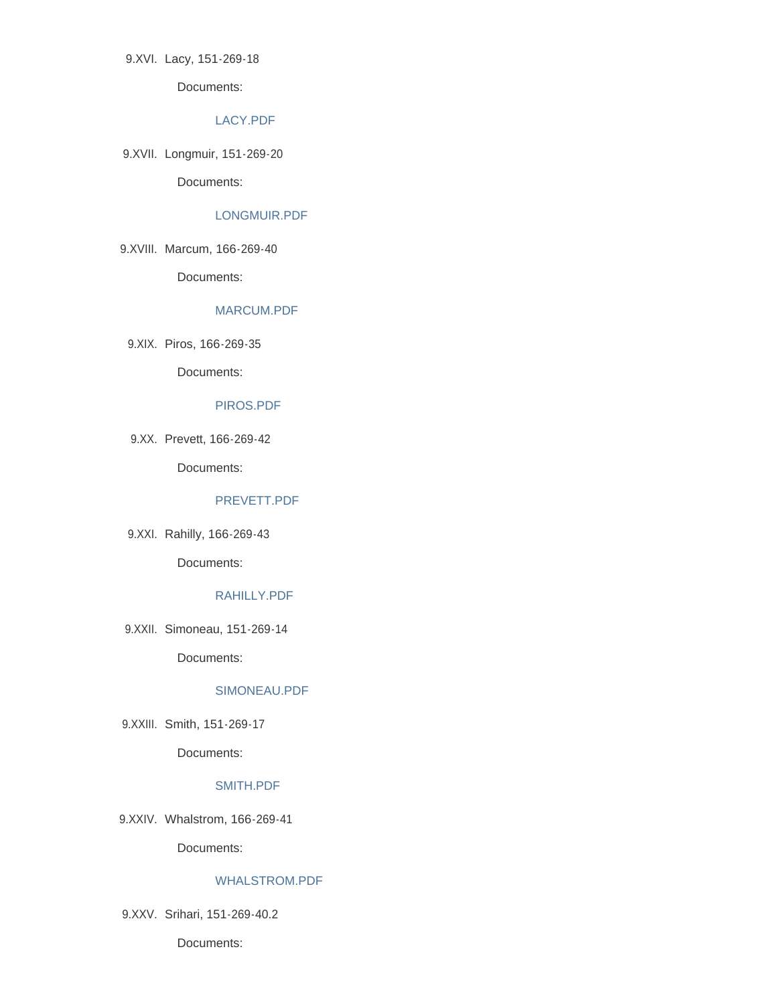9.XVI. Lacy, 151-269-18

Documents:

## [LACY.PDF](https://www.laconianh.gov/AgendaCenter/ViewFile/Item/21130?fileID=43662)

9.XVII. Longmuir, 151-269-20

Documents:

## [LONGMUIR.PDF](https://www.laconianh.gov/AgendaCenter/ViewFile/Item/21131?fileID=43663)

9.XVIII. Marcum, 166-269-40

Documents:

## [MARCUM.PDF](https://www.laconianh.gov/AgendaCenter/ViewFile/Item/21234?fileID=43702)

9.XIX. Piros, 166-269-35

Documents:

#### [PIROS.PDF](https://www.laconianh.gov/AgendaCenter/ViewFile/Item/21135?fileID=43666)

Prevett, 166-269-42 9.XX.

Documents:

## [PREVETT.PDF](https://www.laconianh.gov/AgendaCenter/ViewFile/Item/21136?fileID=43667)

9.XXI. Rahilly, 166-269-43

Documents:

## [RAHILLY.PDF](https://www.laconianh.gov/AgendaCenter/ViewFile/Item/21137?fileID=43668)

9.XXII. Simoneau, 151-269-14

Documents:

### [SIMONEAU.PDF](https://www.laconianh.gov/AgendaCenter/ViewFile/Item/21139?fileID=43670)

9.XXIII. Smith, 151-269-17

Documents:

### [SMITH.PDF](https://www.laconianh.gov/AgendaCenter/ViewFile/Item/21140?fileID=43671)

9.XXIV. Whalstrom, 166-269-41

Documents:

## [WHALSTROM.PDF](https://www.laconianh.gov/AgendaCenter/ViewFile/Item/21142?fileID=43673)

9.XXV. Srihari, 151-269-40.2

Documents: